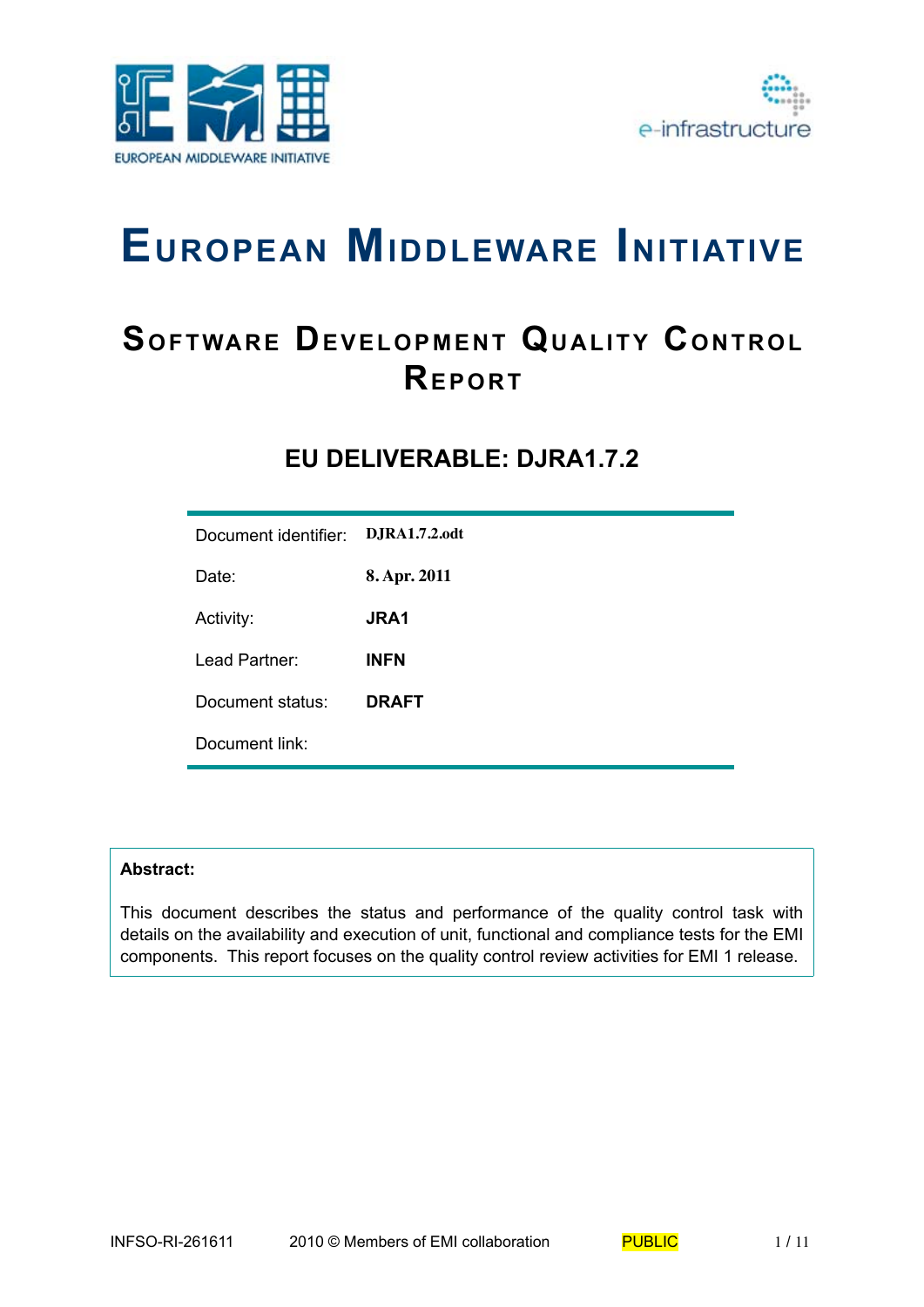



# **EUROPEAN MIDDLEWARE INITIATIVE**

## **SOFTWARE DEVELOPMENT QUALITY CONTROL REPORT**

## **EU DELIVERABLE: DJRA1.7.2**

| Document identifier: | <b>D.JRA1.7.2.odt</b> |
|----------------------|-----------------------|
| Date:                | 8. Apr. 2011          |
| Activity:            | <b>JRA1</b>           |
| Lead Partner:        | <b>INFN</b>           |
| Document status:     | <b>DRAFT</b>          |
| Document link:       |                       |

#### **Abstract:**

This document describes the status and performance of the quality control task with details on the availability and execution of unit, functional and compliance tests for the EMI components. This report focuses on the quality control review activities for EMI 1 release.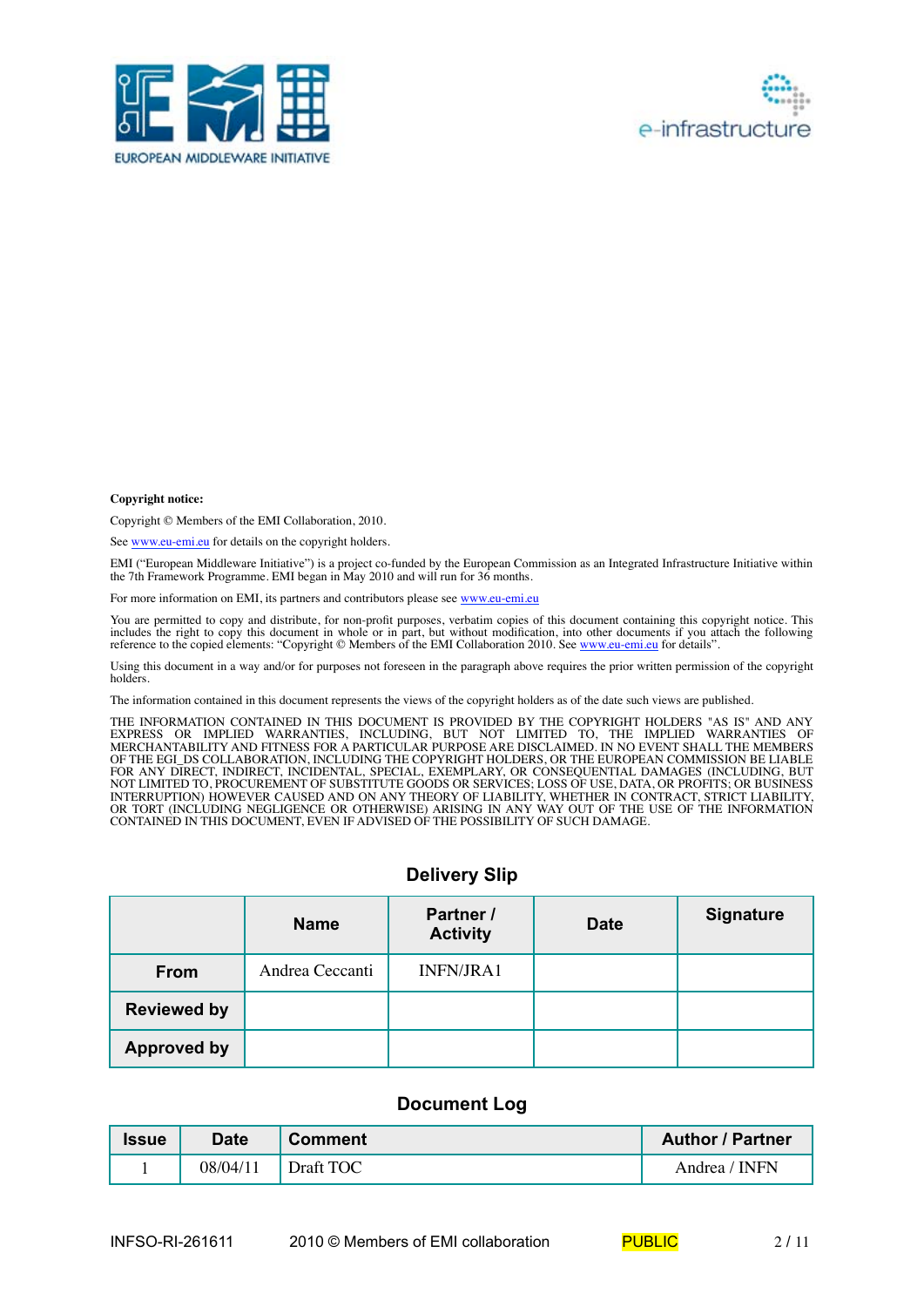



#### **Copyright notice:**

Copyright © Members of the EMI Collaboration, 2010.

See www.eu-emi.eu for details on the copyright holders.

EMI ("European Middleware Initiative") is a project co-funded by the European Commission as an Integrated Infrastructure Initiative within the 7th Framework Programme. EMI began in May 2010 and will run for 36 months.

For more information on EMI, its partners and contributors please see www.eu-emi.eu

You are permitted to copy and distribute, for non-profit purposes, verbatim copies of this document containing this copyright notice. This includes the right to copy this document in whole or in part, but without modification, into other documents if you attach the following reference to the copied elements: "Copyright © Members of the EMI Collaboration 2010. See www.eu-emi.eu for details".

Using this document in a way and/or for purposes not foreseen in the paragraph above requires the prior written permission of the copyright holders.

The information contained in this document represents the views of the copyright holders as of the date such views are published.

THE INFORMATION CONTAINED IN THIS DOCUMENT IS PROVIDED BY THE COPYRIGHT HOLDERS "AS IS" AND ANY EXPRESS OR IMPLIED WARRANTIES, INCLUDING, BUT NOT LIMITED TO, THE IMPLIED WARRANTIES OF MERCHANTABILITY AND FITNESS FOR A PARTICULAR PURPOSE ARE DISCLAIMED. IN NO EVENT SHALL THE MEMBERS OF THE EGI\_DS COLLABORATION, INCLUDING THE COPYRIGHT HOLDERS, OR THE EUROPEAN COMMISSION BE LIABLE FOR ANY DIRECT, INDIRECT, INCIDENTAL, SPECIAL, EXEMPLARY, OR CONSEQUENTIAL DAMAGES (INCLUDING, BUT NOT LIMITED TO, PROCUREMENT OF SUBSTITUTE GOODS OR SERVICES; LOSS OF USE, DATA, OR PROFITS; OR BUSINESS INTERRUPTION) HOWEVER CAUSED AND ON ANY THEORY OF LIABILITY, WHETHER IN CONTRACT, STRICT LIABILITY, OR TORT (INCLUDING NEGLIGENCE OR OTHERWISE) ARISING IN ANY WAY OUT OF THE USE OF THE INFORMATION CONTAINED IN THIS DOCUMENT, EVEN IF ADVISED OF THE POSSIBILITY OF SUCH DAMAGE.

#### **Delivery Slip**

|                    | <b>Name</b>     | Partner /<br><b>Activity</b> | <b>Date</b> | <b>Signature</b> |
|--------------------|-----------------|------------------------------|-------------|------------------|
| <b>From</b>        | Andrea Ceccanti | <b>INFN/JRA1</b>             |             |                  |
| <b>Reviewed by</b> |                 |                              |             |                  |
| <b>Approved by</b> |                 |                              |             |                  |

#### **Document Log**

| <b>Issue</b> | Date     | <b>Comment</b> | <b>Author / Partner</b> |
|--------------|----------|----------------|-------------------------|
|              | 08/04/11 | Draft TOC      | Andrea / INFN           |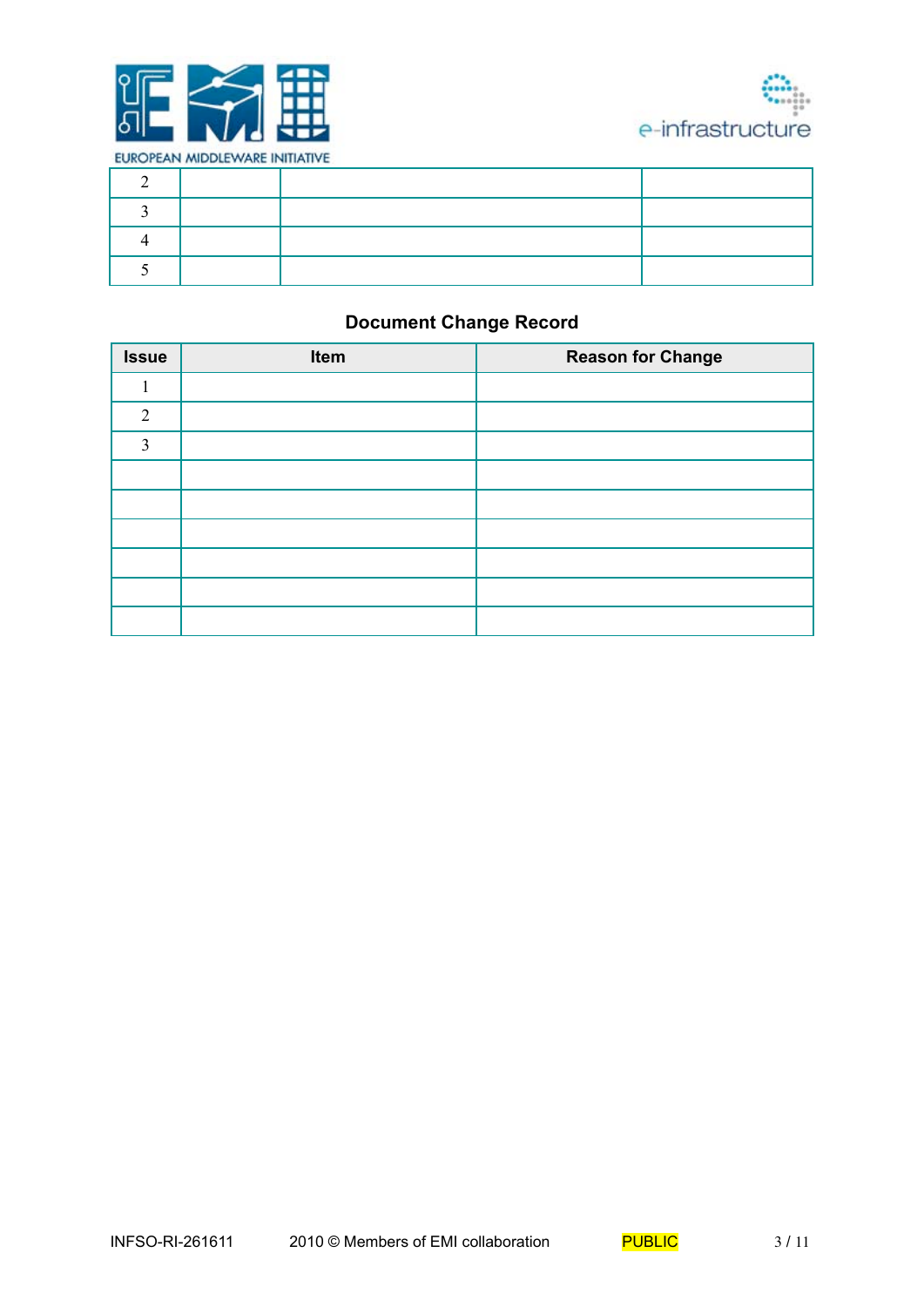



## **Document Change Record**

| <b>Issue</b> | Item | <b>Reason for Change</b> |
|--------------|------|--------------------------|
|              |      |                          |
| 2            |      |                          |
| 3            |      |                          |
|              |      |                          |
|              |      |                          |
|              |      |                          |
|              |      |                          |
|              |      |                          |
|              |      |                          |